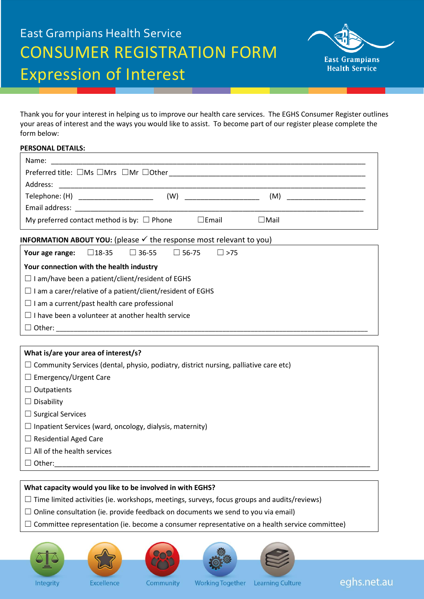# East Grampians Health Service CONSUMER REGISTRATION FORM Expression of Interest



Thank you for your interest in helping us to improve our health care services. The EGHS Consumer Register outlines your areas of interest and the ways you would like to assist. To become part of our register please complete the form below:

### **PERSONAL DETAILS:**

| Telephone: (H) ______________________                                                 |  | (W)             |             | (M) __________________________ |
|---------------------------------------------------------------------------------------|--|-----------------|-------------|--------------------------------|
|                                                                                       |  |                 |             |                                |
| My preferred contact method is by: $\Box$ Phone                                       |  | $\square$ Email | $\Box$ Mail |                                |
| <b>INFORMATION ABOUT YOU:</b> (please $\checkmark$ the response most relevant to you) |  |                 |             |                                |

| Your age range:                                                   | $\sqcup$ 18-35 | $\Box$ 36-55 | $\sqcup$ 56-75 | $ $ $ $ >75 |
|-------------------------------------------------------------------|----------------|--------------|----------------|-------------|
| Your connection with the health industry                          |                |              |                |             |
| $\Box$ I am/have been a patient/client/resident of EGHS           |                |              |                |             |
| $\Box$ I am a carer/relative of a patient/client/resident of EGHS |                |              |                |             |
| $\Box$ I am a current/past health care professional               |                |              |                |             |
| $\Box$ I have been a volunteer at another health service          |                |              |                |             |
| Other:                                                            |                |              |                |             |

# **What is/are your area of interest/s?**

 $\Box$  Community Services (dental, physio, podiatry, district nursing, palliative care etc)

- □ Emergency/Urgent Care
- ☐ Outpatients
- ☐ Disability
- □ Surgical Services
- $\Box$  Inpatient Services (ward, oncology, dialysis, maternity)
- □ Residential Aged Care
- $\Box$  All of the health services
- ☐ Other:\_\_\_\_\_\_\_\_\_\_\_\_\_\_\_\_\_\_\_\_\_\_\_\_\_\_\_\_\_\_\_\_\_\_\_\_\_\_\_\_\_\_\_\_\_\_\_\_\_\_\_\_\_\_\_\_\_\_\_\_\_\_\_\_\_\_\_\_\_\_\_\_\_\_\_\_\_\_\_\_\_

## **What capacity would you like to be involved in with EGHS?**

- $\Box$  Time limited activities (ie. workshops, meetings, surveys, focus groups and audits/reviews)
- $\Box$  Online consultation (ie. provide feedback on documents we send to you via email)
- $\Box$  Committee representation (ie. become a consumer representative on a health service committee)











eghs.net.au

Excellence

Community

Working Together Learning Culture